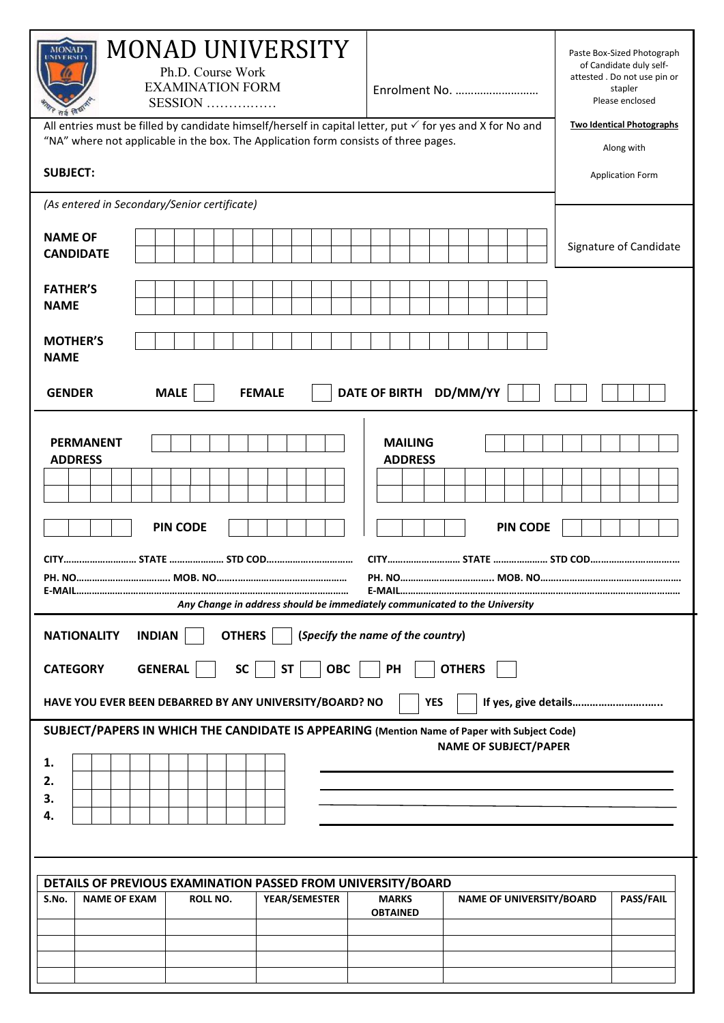| MONAD UNIVERSITY<br><b>MONAD</b><br>Ph.D. Course Work<br><b>EXAMINATION FORM</b><br>SESSION<br>सर्व विद्या<br>All entries must be filled by candidate himself/herself in capital letter, put $\checkmark$ for yes and X for No and<br>"NA" where not applicable in the box. The Application form consists of three pages. | Paste Box-Sized Photograph<br>of Candidate duly self-<br>attested. Do not use pin or<br>stapler<br>Enrolment No.<br>Please enclosed<br><b>Two Identical Photographs</b><br>Along with |  |  |  |
|---------------------------------------------------------------------------------------------------------------------------------------------------------------------------------------------------------------------------------------------------------------------------------------------------------------------------|---------------------------------------------------------------------------------------------------------------------------------------------------------------------------------------|--|--|--|
| <b>SUBJECT:</b><br><b>Application Form</b>                                                                                                                                                                                                                                                                                |                                                                                                                                                                                       |  |  |  |
| (As entered in Secondary/Senior certificate)                                                                                                                                                                                                                                                                              |                                                                                                                                                                                       |  |  |  |
| <b>NAME OF</b><br><b>CANDIDATE</b>                                                                                                                                                                                                                                                                                        | Signature of Candidate                                                                                                                                                                |  |  |  |
| <b>FATHER'S</b><br><b>NAME</b>                                                                                                                                                                                                                                                                                            |                                                                                                                                                                                       |  |  |  |
| <b>MOTHER'S</b><br><b>NAME</b>                                                                                                                                                                                                                                                                                            |                                                                                                                                                                                       |  |  |  |
| <b>MALE</b><br><b>GENDER</b><br><b>FEMALE</b>                                                                                                                                                                                                                                                                             | DD/MM/YY<br><b>DATE OF BIRTH</b>                                                                                                                                                      |  |  |  |
| <b>PERMANENT</b><br><b>ADDRESS</b><br><b>PIN CODE</b>                                                                                                                                                                                                                                                                     | <b>MAILING</b><br><b>ADDRESS</b><br><b>PIN CODE</b>                                                                                                                                   |  |  |  |
| PH. NO.<br>Any Change in address should be immediately communicated to the University                                                                                                                                                                                                                                     | <b>PH. NO</b><br>MOB. NO                                                                                                                                                              |  |  |  |
| <b>OTHERS</b><br><b>INDIAN</b><br><b>NATIONALITY</b><br><b>GENERAL</b><br><b>SC</b><br><b>OBC</b><br><b>CATEGORY</b><br><b>ST</b>                                                                                                                                                                                         | (Specify the name of the country)<br>PH<br><b>OTHERS</b>                                                                                                                              |  |  |  |
| HAVE YOU EVER BEEN DEBARRED BY ANY UNIVERSITY/BOARD? NO                                                                                                                                                                                                                                                                   | <b>YES</b><br>If yes, give details                                                                                                                                                    |  |  |  |
| SUBJECT/PAPERS IN WHICH THE CANDIDATE IS APPEARING (Mention Name of Paper with Subject Code)<br>1.<br>2.<br>3.<br>4.                                                                                                                                                                                                      | <b>NAME OF SUBJECT/PAPER</b>                                                                                                                                                          |  |  |  |
|                                                                                                                                                                                                                                                                                                                           |                                                                                                                                                                                       |  |  |  |
| DETAILS OF PREVIOUS EXAMINATION PASSED FROM UNIVERSITY/BOARD<br><b>NAME OF EXAM</b><br><b>ROLL NO.</b><br>YEAR/SEMESTER<br>S.No.                                                                                                                                                                                          | <b>MARKS</b><br><b>NAME OF UNIVERSITY/BOARD</b><br>PASS/FAIL<br><b>OBTAINED</b>                                                                                                       |  |  |  |
|                                                                                                                                                                                                                                                                                                                           |                                                                                                                                                                                       |  |  |  |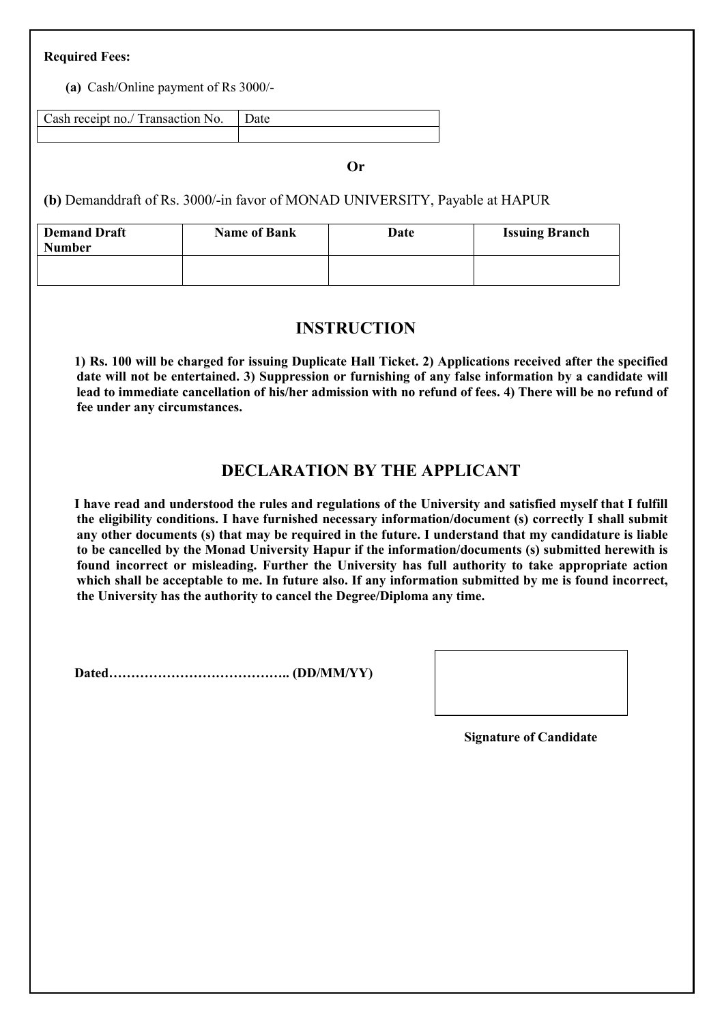## Required Fees:

(a) Cash/Online payment of Rs 3000/-

Cash receipt no./ Transaction No. | Date

Or

(b) Demanddraft of Rs. 3000/-in favor of MONAD UNIVERSITY, Payable at HAPUR

| <b>Demand Draft</b><br><b>Number</b> | <b>Name of Bank</b> | Date | <b>Issuing Branch</b> |
|--------------------------------------|---------------------|------|-----------------------|
|                                      |                     |      |                       |

## INSTRUCTION

1) Rs. 100 will be charged for issuing Duplicate Hall Ticket. 2) Applications received after the specified date will not be entertained. 3) Suppression or furnishing of any false information by a candidate will lead to immediate cancellation of his/her admission with no refund of fees. 4) There will be no refund of fee under any circumstances.

## DECLARATION BY THE APPLICANT

I have read and understood the rules and regulations of the University and satisfied myself that I fulfill the eligibility conditions. I have furnished necessary information/document (s) correctly I shall submit any other documents (s) that may be required in the future. I understand that my candidature is liable to be cancelled by the Monad University Hapur if the information/documents (s) submitted herewith is found incorrect or misleading. Further the University has full authority to take appropriate action which shall be acceptable to me. In future also. If any information submitted by me is found incorrect, the University has the authority to cancel the Degree/Diploma any time.

Dated………………………………….. (DD/MM/YY)

Signature of Candidate